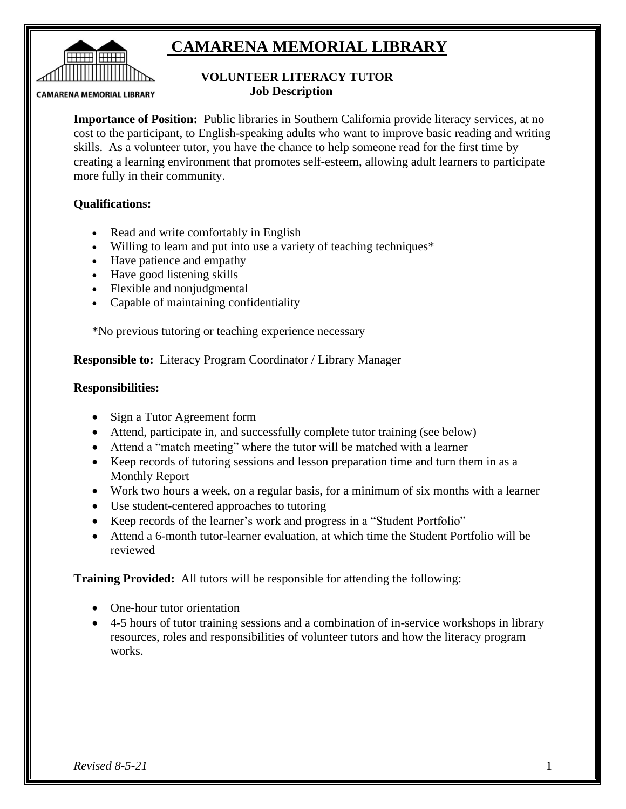

# **CAMARENA MEMORIAL LIBRARY**

#### **CAMARENA MEMORIAL LIBRARY**

#### **VOLUNTEER LITERACY TUTOR Job Description**

**Importance of Position:** Public libraries in Southern California provide literacy services, at no cost to the participant, to English-speaking adults who want to improve basic reading and writing skills. As a volunteer tutor, you have the chance to help someone read for the first time by creating a learning environment that promotes self-esteem, allowing adult learners to participate more fully in their community.

## **Qualifications:**

- Read and write comfortably in English
- Willing to learn and put into use a variety of teaching techniques\*
- Have patience and empathy
- Have good listening skills
- Flexible and nonjudgmental
- Capable of maintaining confidentiality

\*No previous tutoring or teaching experience necessary

**Responsible to:** Literacy Program Coordinator / Library Manager

## **Responsibilities:**

- Sign a Tutor Agreement form
- Attend, participate in, and successfully complete tutor training (see below)
- Attend a "match meeting" where the tutor will be matched with a learner
- Keep records of tutoring sessions and lesson preparation time and turn them in as a Monthly Report
- Work two hours a week, on a regular basis, for a minimum of six months with a learner
- Use student-centered approaches to tutoring
- Keep records of the learner's work and progress in a "Student Portfolio"
- Attend a 6-month tutor-learner evaluation, at which time the Student Portfolio will be reviewed

**Training Provided:** All tutors will be responsible for attending the following:

- One-hour tutor orientation
- 4-5 hours of tutor training sessions and a combination of in-service workshops in library resources, roles and responsibilities of volunteer tutors and how the literacy program works.